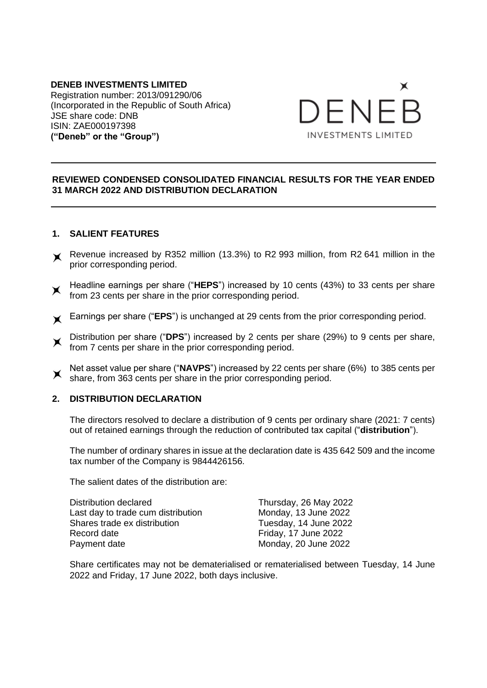#### **DENEB INVESTMENTS LIMITED** Registration number: 2013/091290/06 (Incorporated in the Republic of South Africa) JSE share code: DNB ISIN: ZAE000197398 **("Deneb" or the "Group")**



# **REVIEWED CONDENSED CONSOLIDATED FINANCIAL RESULTS FOR THE YEAR ENDED 31 MARCH 2022 AND DISTRIBUTION DECLARATION**

# **1. SALIENT FEATURES**

- Revenue increased by R352 million (13.3%) to R2 993 million, from R2 641 million in the prior corresponding period.
- Headline earnings per share ("HEPS") increased by 10 cents (43%) to 33 cents per share from 23 cents per share in the prior corresponding period.
- Earnings per share ("**EPS**") is unchanged at 29 cents from the prior corresponding period.
- Distribution per share ("**DPS**") increased by 2 cents per share (29%) to 9 cents per share,  $\times$ from 7 cents per share in the prior corresponding period.
- Net asset value per share ("**NAVPS**") increased by 22 cents per share (6%) to 385 cents per  $\times$ share, from 363 cents per share in the prior corresponding period.

#### **2. DISTRIBUTION DECLARATION**

The directors resolved to declare a distribution of 9 cents per ordinary share (2021: 7 cents) out of retained earnings through the reduction of contributed tax capital ("**distribution**").

The number of ordinary shares in issue at the declaration date is 435 642 509 and the income tax number of the Company is 9844426156.

The salient dates of the distribution are:

Distribution declared Thursday, 26 May 2022 Last day to trade cum distribution Monday, 13 June 2022 Shares trade ex distribution Tuesday, 14 June 2022 Record date **Friday**, 17 June 2022 Payment date Monday, 20 June 2022

Share certificates may not be dematerialised or rematerialised between Tuesday, 14 June 2022 and Friday, 17 June 2022, both days inclusive.